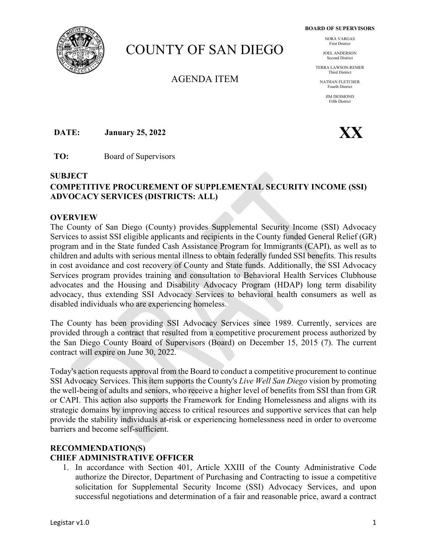**BOARD OF SUPERVISORS** 

# COUNTY OF SAN DIEGO

AGENDA ITEM

NORA VARGAS First District

JOEL ANDERSON Second District

TERRA LAWSON-REMER Third District

> NATHAN FLETCHER Fourth District

> > *IIM DESMOND* Fifth District

**DATE:** January 25, 2022 **XX** 

**TO:** Board of Supervisors

#### **SUBJECT**

## **COMPETITIVE PROCUREMENT OF SUPPLEMENTAL SECURITY INCOME (SSI) ADVOCACY SERVICES (DISTRICTS: ALL)**

#### **OVERVIEW**

The County of San Diego (County) provides Supplemental Security Income (SSI) Advocacy Services to assist SSI eligible applicants and recipients in the County funded General Relief (GR) program and in the State funded Cash Assistance Program for Immigrants (CAPI), as well as to children and adults with serious mental illness to obtain federally funded SSI benefits. This results in cost avoidance and cost recovery of County and State funds. Additionally, the SSI Advocacy Services program provides training and consultation to Behavioral Health Services Clubhouse advocates and the Housing and Disability Advocacy Program (HDAP) long term disability advocacy, thus extending SSI Advocacy Services to behavioral health consumers as well as disabled individuals who are experiencing homeless.

The County has been providing SSI Advocacy Services since 1989. Currently, services are provided through a contract that resulted from a competitive procurement process authorized by the San Diego County Board of Supervisors (Board) on December 15, 2015 (7). The current contract will expire on June 30, 2022.

Today's action requests approval from the Board to conduct a competitive procurement to continue SSI Advocacy Services. This item supports the County's *Live Well San Diego* vision by promoting the well-being of adults and seniors, who receive a higher level of benefits from SSI than from GR or CAPI. This action also supports the Framework for Ending Homelessness and aligns with its strategic domains by improving access to critical resources and supportive services that can help provide the stability individuals at-risk or experiencing homelessness need in order to overcome barriers and become self-sufficient.

## **RECOMMENDATION(S) CHIEF ADMINISTRATIVE OFFICER**

1. In accordance with Section 401, Article XXIII of the County Administrative Code authorize the Director, Department of Purchasing and Contracting to issue a competitive solicitation for Supplemental Security Income (SSI) Advocacy Services, and upon successful negotiations and determination of a fair and reasonable price, award a contract

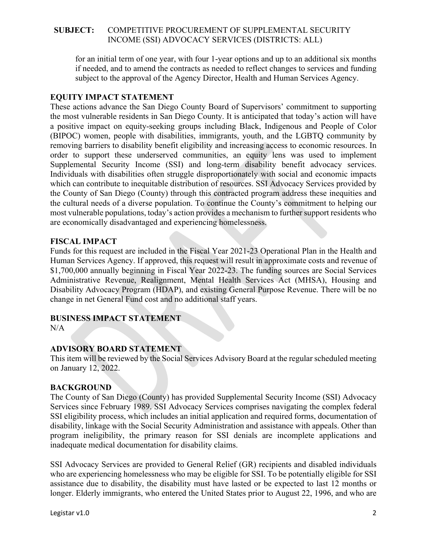### **SUBJECT:** COMPETITIVE PROCUREMENT OF SUPPLEMENTAL SECURITY INCOME (SSI) ADVOCACY SERVICES (DISTRICTS: ALL)

for an initial term of one year, with four 1-year options and up to an additional six months if needed, and to amend the contracts as needed to reflect changes to services and funding subject to the approval of the Agency Director, Health and Human Services Agency.

#### **EQUITY IMPACT STATEMENT**

These actions advance the San Diego County Board of Supervisors' commitment to supporting the most vulnerable residents in San Diego County. It is anticipated that today's action will have a positive impact on equity-seeking groups including Black, Indigenous and People of Color (BIPOC) women, people with disabilities, immigrants, youth, and the LGBTQ community by removing barriers to disability benefit eligibility and increasing access to economic resources. In order to support these underserved communities, an equity lens was used to implement Supplemental Security Income (SSI) and long-term disability benefit advocacy services. Individuals with disabilities often struggle disproportionately with social and economic impacts which can contribute to inequitable distribution of resources. SSI Advocacy Services provided by the County of San Diego (County) through this contracted program address these inequities and the cultural needs of a diverse population. To continue the County's commitment to helping our most vulnerable populations, today's action provides a mechanism to further support residents who are economically disadvantaged and experiencing homelessness.

#### **FISCAL IMPACT**

Funds for this request are included in the Fiscal Year 2021-23 Operational Plan in the Health and Human Services Agency. If approved, this request will result in approximate costs and revenue of \$1,700,000 annually beginning in Fiscal Year 2022-23. The funding sources are Social Services Administrative Revenue, Realignment, Mental Health Services Act (MHSA), Housing and Disability Advocacy Program (HDAP), and existing General Purpose Revenue. There will be no change in net General Fund cost and no additional staff years.

## **BUSINESS IMPACT STATEMENT**

N/A

## **ADVISORY BOARD STATEMENT**

This item will be reviewed by the Social Services Advisory Board at the regular scheduled meeting on January 12, 2022.

#### **BACKGROUND**

The County of San Diego (County) has provided Supplemental Security Income (SSI) Advocacy Services since February 1989. SSI Advocacy Services comprises navigating the complex federal SSI eligibility process, which includes an initial application and required forms, documentation of disability, linkage with the Social Security Administration and assistance with appeals. Other than program ineligibility, the primary reason for SSI denials are incomplete applications and inadequate medical documentation for disability claims.

SSI Advocacy Services are provided to General Relief (GR) recipients and disabled individuals who are experiencing homelessness who may be eligible for SSI. To be potentially eligible for SSI assistance due to disability, the disability must have lasted or be expected to last 12 months or longer. Elderly immigrants, who entered the United States prior to August 22, 1996, and who are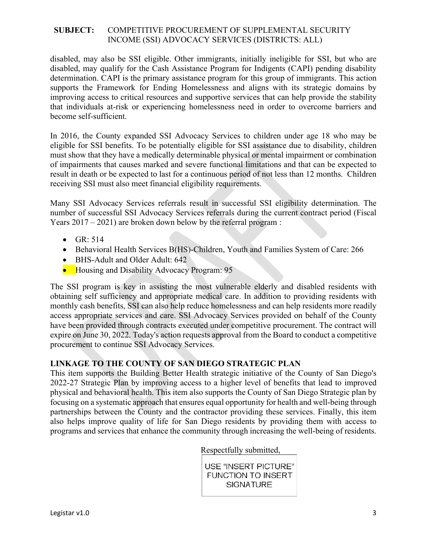#### **SUBJECT:** COMPETITIVE PROCUREMENT OF SUPPLEMENTAL SECURITY INCOME (SSI) ADVOCACY SERVICES (DISTRICTS: ALL)

disabled, may also be SSI eligible. Other immigrants, initially ineligible for SSI, but who are disabled, may qualify for the Cash Assistance Program for Indigents (CAPI) pending disability determination. CAPI is the primary assistance program for this group of immigrants. This action supports the Framework for Ending Homelessness and aligns with its strategic domains by improving access to critical resources and supportive services that can help provide the stability that individuals at-risk or experiencing homelessness need in order to overcome barriers and become self-sufficient.

In 2016, the County expanded SSI Advocacy Services to children under age 18 who may be eligible for SSI benefits. To be potentially eligible for SSI assistance due to disability, children must show that they have a medically determinable physical or mental impairment or combination of impairments that causes marked and severe functional limitations and that can be expected to result in death or be expected to last for a continuous period of not less than 12 months. Children receiving SSI must also meet financial eligibility requirements.

Many SSI Advocacy Services referrals result in successful SSI eligibility determination. The number of successful SSI Advocacy Services referrals during the current contract period (Fiscal Years 2017 – 2021) are broken down below by the referral program :

- $\bullet$  GR: 514
- Behavioral Health Services B(HS)-Children, Youth and Families System of Care: 266
- BHS-Adult and Older Adult: 642
- Housing and Disability Advocacy Program: 95

The SSI program is key in assisting the most vulnerable elderly and disabled residents with obtaining self sufficiency and appropriate medical care. In addition to providing residents with monthly cash benefits, SSI can also help reduce homelessness and can help residents more readily access appropriate services and care. SSI Advocacy Services provided on behalf of the County have been provided through contracts executed under competitive procurement. The contract will expire on June 30, 2022. Today's action requests approval from the Board to conduct a competitive procurement to continue SSI Advocacy Services.

## **LINKAGE TO THE COUNTY OF SAN DIEGO STRATEGIC PLAN**

This item supports the Building Better Health strategic initiative of the County of San Diego's 2022-27 Strategic Plan by improving access to a higher level of benefits that lead to improved physical and behavioral health. This item also supports the County of San Diego Strategic plan by focusing on a systematic approach that ensures equal opportunity for health and well-being through partnerships between the County and the contractor providing these services. Finally, this item also helps improve quality of life for San Diego residents by providing them with access to programs and services that enhance the community through increasing the well-being of residents.

Respectfully submitted,

**USE "INSERT PICTURE"** FUNCTION TO INSERT **SIGNATURE**